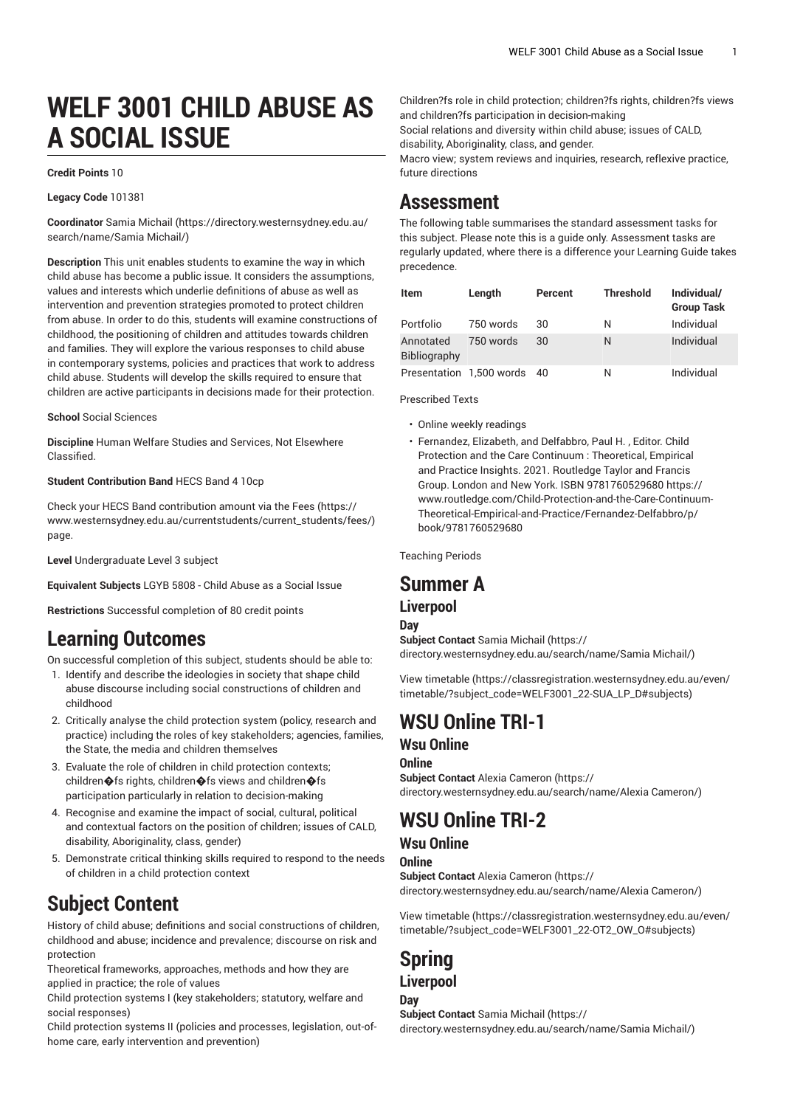# **WELF 3001 CHILD ABUSE AS A SOCIAL ISSUE**

#### **Credit Points** 10

#### **Legacy Code** 101381

**Coordinator** [Samia Michail](https://directory.westernsydney.edu.au/search/name/Samia Michail/) [\(https://directory.westernsydney.edu.au/](https://directory.westernsydney.edu.au/search/name/Samia Michail/) [search/name/Samia](https://directory.westernsydney.edu.au/search/name/Samia Michail/) Michail/)

**Description** This unit enables students to examine the way in which child abuse has become a public issue. It considers the assumptions, values and interests which underlie definitions of abuse as well as intervention and prevention strategies promoted to protect children from abuse. In order to do this, students will examine constructions of childhood, the positioning of children and attitudes towards children and families. They will explore the various responses to child abuse in contemporary systems, policies and practices that work to address child abuse. Students will develop the skills required to ensure that children are active participants in decisions made for their protection.

#### **School** Social Sciences

**Discipline** Human Welfare Studies and Services, Not Elsewhere Classified.

#### **Student Contribution Band** HECS Band 4 10cp

Check your HECS Band contribution amount via the [Fees \(https://](https://www.westernsydney.edu.au/currentstudents/current_students/fees/) [www.westernsydney.edu.au/currentstudents/current\\_students/fees/\)](https://www.westernsydney.edu.au/currentstudents/current_students/fees/) page.

**Level** Undergraduate Level 3 subject

**Equivalent Subjects** LGYB 5808 - Child Abuse as a Social Issue

**Restrictions** Successful completion of 80 credit points

## **Learning Outcomes**

On successful completion of this subject, students should be able to:

- 1. Identify and describe the ideologies in society that shape child abuse discourse including social constructions of children and childhood
- 2. Critically analyse the child protection system (policy, research and practice) including the roles of key stakeholders; agencies, families, the State, the media and children themselves
- 3. Evaluate the role of children in child protection contexts; children�fs rights, children�fs views and children�fs participation particularly in relation to decision-making
- 4. Recognise and examine the impact of social, cultural, political and contextual factors on the position of children; issues of CALD, disability, Aboriginality, class, gender)
- 5. Demonstrate critical thinking skills required to respond to the needs of children in a child protection context

## **Subject Content**

History of child abuse; definitions and social constructions of children, childhood and abuse; incidence and prevalence; discourse on risk and protection

Theoretical frameworks, approaches, methods and how they are applied in practice; the role of values

Child protection systems I (key stakeholders; statutory, welfare and social responses)

Child protection systems II (policies and processes, legislation, out-ofhome care, early intervention and prevention)

Children?fs role in child protection; children?fs rights, children?fs views and children?fs participation in decision-making Social relations and diversity within child abuse; issues of CALD,

disability, Aboriginality, class, and gender.

Macro view; system reviews and inquiries, research, reflexive practice, future directions

## **Assessment**

The following table summarises the standard assessment tasks for this subject. Please note this is a guide only. Assessment tasks are regularly updated, where there is a difference your Learning Guide takes precedence.

| Item                      | Length                      | Percent | <b>Threshold</b> | Individual/<br><b>Group Task</b> |
|---------------------------|-----------------------------|---------|------------------|----------------------------------|
| Portfolio                 | 750 words                   | 30      | Ν                | Individual                       |
| Annotated<br>Bibliography | 750 words                   | 30      | N                | Individual                       |
|                           | Presentation 1,500 words 40 |         | N                | Individual                       |

Prescribed Texts

- Online weekly readings
- Fernandez, Elizabeth, and Delfabbro, Paul H. , Editor. Child Protection and the Care Continuum : Theoretical, Empirical and Practice Insights. 2021. Routledge Taylor and Francis Group. London and New York. ISBN 9781760529680 https:// www.routledge.com/Child-Protection-and-the-Care-Continuum-Theoretical-Empirical-and-Practice/Fernandez-Delfabbro/p/ book/9781760529680

Teaching Periods

### **Summer A**

### **Liverpool**

#### **Day**

**Subject Contact** [Samia Michail \(https://](https://directory.westernsydney.edu.au/search/name/Samia Michail/) [directory.westernsydney.edu.au/search/name/Samia](https://directory.westernsydney.edu.au/search/name/Samia Michail/) Michail/)

[View timetable](https://classregistration.westernsydney.edu.au/even/timetable/?subject_code=WELF3001_22-SUA_LP_D#subjects) [\(https://classregistration.westernsydney.edu.au/even/](https://classregistration.westernsydney.edu.au/even/timetable/?subject_code=WELF3001_22-SUA_LP_D#subjects) [timetable/?subject\\_code=WELF3001\\_22-SUA\\_LP\\_D#subjects](https://classregistration.westernsydney.edu.au/even/timetable/?subject_code=WELF3001_22-SUA_LP_D#subjects))

## **WSU Online TRI-1 Wsu Online**

### **Online**

**Subject Contact** Alexia [Cameron](https://directory.westernsydney.edu.au/search/name/Alexia Cameron/) ([https://](https://directory.westernsydney.edu.au/search/name/Alexia Cameron/) [directory.westernsydney.edu.au/search/name/Alexia](https://directory.westernsydney.edu.au/search/name/Alexia Cameron/) Cameron/)

## **WSU Online TRI-2**

### **Wsu Online**

**Online**

**Subject Contact** Alexia [Cameron](https://directory.westernsydney.edu.au/search/name/Alexia Cameron/) ([https://](https://directory.westernsydney.edu.au/search/name/Alexia Cameron/) [directory.westernsydney.edu.au/search/name/Alexia](https://directory.westernsydney.edu.au/search/name/Alexia Cameron/) Cameron/)

[View timetable](https://classregistration.westernsydney.edu.au/even/timetable/?subject_code=WELF3001_22-OT2_OW_O#subjects) [\(https://classregistration.westernsydney.edu.au/even/](https://classregistration.westernsydney.edu.au/even/timetable/?subject_code=WELF3001_22-OT2_OW_O#subjects) [timetable/?subject\\_code=WELF3001\\_22-OT2\\_OW\\_O#subjects](https://classregistration.westernsydney.edu.au/even/timetable/?subject_code=WELF3001_22-OT2_OW_O#subjects))

### **Spring Liverpool**

### **Day**

**Subject Contact** [Samia Michail \(https://](https://directory.westernsydney.edu.au/search/name/Samia Michail/) [directory.westernsydney.edu.au/search/name/Samia](https://directory.westernsydney.edu.au/search/name/Samia Michail/) Michail/)